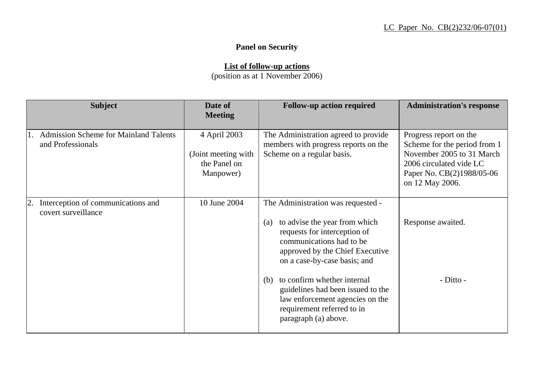## **Panel on Security**

## **List of follow-up actions**

(position as at 1 November 2006)

| <b>Subject</b>                                                    | Date of<br><b>Meeting</b>                                         | <b>Follow-up action required</b>                                                                                                                                                                                                                                                                                                                                              | <b>Administration's response</b>                                                                                                                               |
|-------------------------------------------------------------------|-------------------------------------------------------------------|-------------------------------------------------------------------------------------------------------------------------------------------------------------------------------------------------------------------------------------------------------------------------------------------------------------------------------------------------------------------------------|----------------------------------------------------------------------------------------------------------------------------------------------------------------|
| <b>Admission Scheme for Mainland Talents</b><br>and Professionals | 4 April 2003<br>(Joint meeting with)<br>the Panel on<br>Manpower) | The Administration agreed to provide<br>members with progress reports on the<br>Scheme on a regular basis.                                                                                                                                                                                                                                                                    | Progress report on the<br>Scheme for the period from 1<br>November 2005 to 31 March<br>2006 circulated vide LC<br>Paper No. CB(2)1988/05-06<br>on 12 May 2006. |
| Interception of communications and<br>covert surveillance         | 10 June 2004                                                      | The Administration was requested -<br>to advise the year from which<br>(a)<br>requests for interception of<br>communications had to be<br>approved by the Chief Executive<br>on a case-by-case basis; and<br>to confirm whether internal<br>(b)<br>guidelines had been issued to the<br>law enforcement agencies on the<br>requirement referred to in<br>paragraph (a) above. | Response awaited.<br>- Ditto -                                                                                                                                 |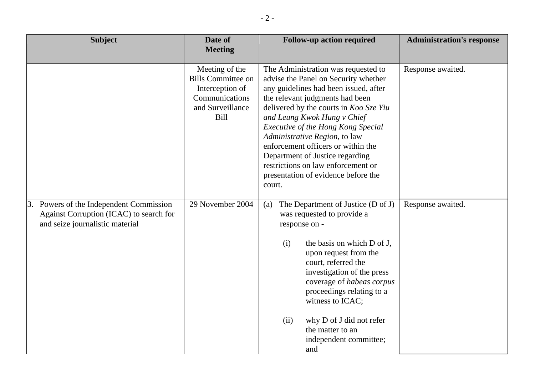| <b>Subject</b>                                                                                                        | Date of<br><b>Meeting</b>                                                                                    | <b>Follow-up action required</b>                                                                                                                                                                                                                                                                                                                                                                                                                                               | <b>Administration's response</b> |
|-----------------------------------------------------------------------------------------------------------------------|--------------------------------------------------------------------------------------------------------------|--------------------------------------------------------------------------------------------------------------------------------------------------------------------------------------------------------------------------------------------------------------------------------------------------------------------------------------------------------------------------------------------------------------------------------------------------------------------------------|----------------------------------|
|                                                                                                                       | Meeting of the<br><b>Bills Committee on</b><br>Interception of<br>Communications<br>and Surveillance<br>Bill | The Administration was requested to<br>advise the Panel on Security whether<br>any guidelines had been issued, after<br>the relevant judgments had been<br>delivered by the courts in Koo Sze Yiu<br>and Leung Kwok Hung v Chief<br><b>Executive of the Hong Kong Special</b><br>Administrative Region, to law<br>enforcement officers or within the<br>Department of Justice regarding<br>restrictions on law enforcement or<br>presentation of evidence before the<br>court. | Response awaited.                |
| 3. Powers of the Independent Commission<br>Against Corruption (ICAC) to search for<br>and seize journalistic material | 29 November 2004                                                                                             | The Department of Justice (D of J)<br>(a)<br>was requested to provide a<br>response on -<br>(i)<br>the basis on which D of J,<br>upon request from the<br>court, referred the<br>investigation of the press<br>coverage of habeas corpus<br>proceedings relating to a<br>witness to ICAC;<br>(ii)<br>why D of J did not refer<br>the matter to an<br>independent committee;<br>and                                                                                             | Response awaited.                |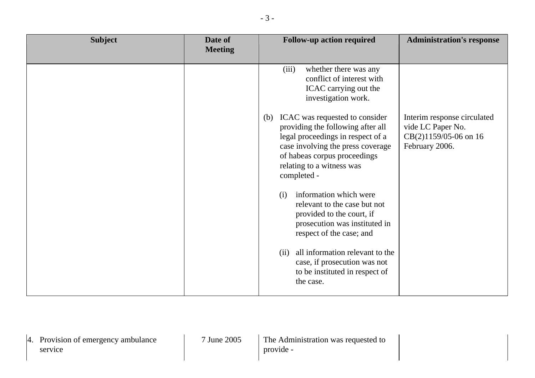| <b>Subject</b> | Date of<br><b>Meeting</b> | <b>Follow-up action required</b>                                                                                                                                                                                                                                                                                                                                                                                                                                                                                                                                                                                                     | <b>Administration's response</b>                                                            |
|----------------|---------------------------|--------------------------------------------------------------------------------------------------------------------------------------------------------------------------------------------------------------------------------------------------------------------------------------------------------------------------------------------------------------------------------------------------------------------------------------------------------------------------------------------------------------------------------------------------------------------------------------------------------------------------------------|---------------------------------------------------------------------------------------------|
|                |                           | (iii)<br>whether there was any<br>conflict of interest with<br>ICAC carrying out the<br>investigation work.<br>ICAC was requested to consider<br>(b)<br>providing the following after all<br>legal proceedings in respect of a<br>case involving the press coverage<br>of habeas corpus proceedings<br>relating to a witness was<br>completed -<br>information which were<br>(i)<br>relevant to the case but not<br>provided to the court, if<br>prosecution was instituted in<br>respect of the case; and<br>all information relevant to the<br>(ii)<br>case, if prosecution was not<br>to be instituted in respect of<br>the case. | Interim response circulated<br>vide LC Paper No.<br>CB(2)1159/05-06 on 16<br>February 2006. |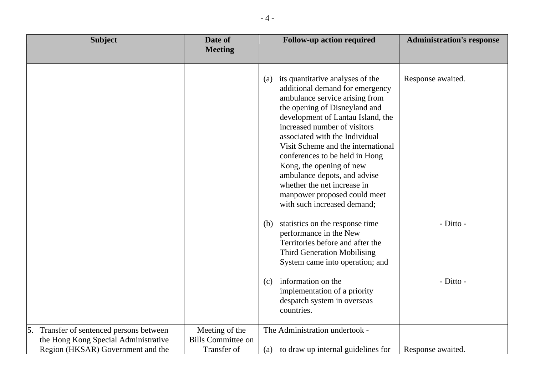| <b>Subject</b>                                                            | Date of<br><b>Meeting</b>                | <b>Follow-up action required</b>                                                                                                                                                                                                                                                                                                                                                                                                                                                    | <b>Administration's response</b> |
|---------------------------------------------------------------------------|------------------------------------------|-------------------------------------------------------------------------------------------------------------------------------------------------------------------------------------------------------------------------------------------------------------------------------------------------------------------------------------------------------------------------------------------------------------------------------------------------------------------------------------|----------------------------------|
|                                                                           |                                          |                                                                                                                                                                                                                                                                                                                                                                                                                                                                                     |                                  |
|                                                                           |                                          | (a) its quantitative analyses of the<br>additional demand for emergency<br>ambulance service arising from<br>the opening of Disneyland and<br>development of Lantau Island, the<br>increased number of visitors<br>associated with the Individual<br>Visit Scheme and the international<br>conferences to be held in Hong<br>Kong, the opening of new<br>ambulance depots, and advise<br>whether the net increase in<br>manpower proposed could meet<br>with such increased demand; | Response awaited.                |
|                                                                           |                                          | statistics on the response time<br>(b)<br>performance in the New<br>Territories before and after the<br><b>Third Generation Mobilising</b><br>System came into operation; and<br>information on the<br>(c)<br>implementation of a priority<br>despatch system in overseas<br>countries.                                                                                                                                                                                             | - Ditto -<br>- Ditto -           |
| 5. Transfer of sentenced persons between                                  | Meeting of the                           | The Administration undertook -                                                                                                                                                                                                                                                                                                                                                                                                                                                      |                                  |
| the Hong Kong Special Administrative<br>Region (HKSAR) Government and the | <b>Bills Committee on</b><br>Transfer of | (a) to draw up internal guidelines for                                                                                                                                                                                                                                                                                                                                                                                                                                              | Response awaited.                |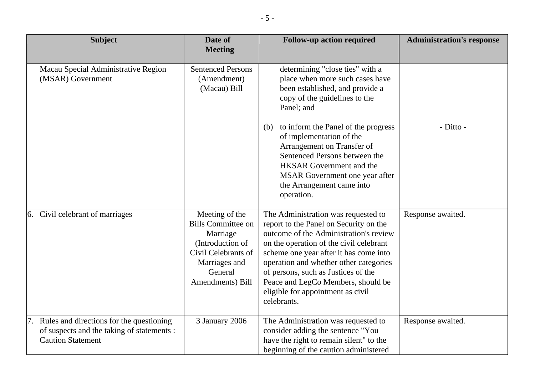| <b>Subject</b>                                                                                                        | Date of<br><b>Meeting</b>                                                                                                                          | <b>Follow-up action required</b>                                                                                                                                                                                                                                                                                                                                                                              | <b>Administration's response</b> |
|-----------------------------------------------------------------------------------------------------------------------|----------------------------------------------------------------------------------------------------------------------------------------------------|---------------------------------------------------------------------------------------------------------------------------------------------------------------------------------------------------------------------------------------------------------------------------------------------------------------------------------------------------------------------------------------------------------------|----------------------------------|
| Macau Special Administrative Region<br>(MSAR) Government                                                              | <b>Sentenced Persons</b><br>(Amendment)<br>(Macau) Bill                                                                                            | determining "close ties" with a<br>place when more such cases have<br>been established, and provide a<br>copy of the guidelines to the<br>Panel; and<br>to inform the Panel of the progress<br>(b)<br>of implementation of the<br>Arrangement on Transfer of<br>Sentenced Persons between the<br><b>HKSAR</b> Government and the<br>MSAR Government one year after<br>the Arrangement came into<br>operation. | - Ditto -                        |
| 6. Civil celebrant of marriages                                                                                       | Meeting of the<br><b>Bills Committee on</b><br>Marriage<br>(Introduction of<br>Civil Celebrants of<br>Marriages and<br>General<br>Amendments) Bill | The Administration was requested to<br>report to the Panel on Security on the<br>outcome of the Administration's review<br>on the operation of the civil celebrant<br>scheme one year after it has come into<br>operation and whether other categories<br>of persons, such as Justices of the<br>Peace and LegCo Members, should be<br>eligible for appointment as civil<br>celebrants.                       | Response awaited.                |
| 7. Rules and directions for the questioning<br>of suspects and the taking of statements :<br><b>Caution Statement</b> | 3 January 2006                                                                                                                                     | The Administration was requested to<br>consider adding the sentence "You<br>have the right to remain silent" to the<br>beginning of the caution administered                                                                                                                                                                                                                                                  | Response awaited.                |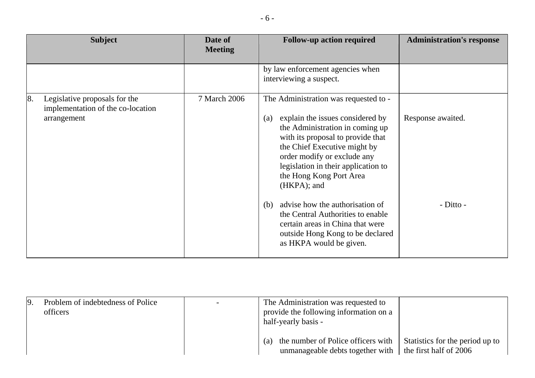| te of | <b>Follow-up action</b> |
|-------|-------------------------|
| eting |                         |

|    | <b>Subject</b>                                                                    | Date of<br><b>Meeting</b> | <b>Follow-up action required</b>                                                                                                                                                                                                                                                                                                                                                                                                                                                                         | <b>Administration's response</b> |
|----|-----------------------------------------------------------------------------------|---------------------------|----------------------------------------------------------------------------------------------------------------------------------------------------------------------------------------------------------------------------------------------------------------------------------------------------------------------------------------------------------------------------------------------------------------------------------------------------------------------------------------------------------|----------------------------------|
|    |                                                                                   |                           | by law enforcement agencies when<br>interviewing a suspect.                                                                                                                                                                                                                                                                                                                                                                                                                                              |                                  |
| 8. | Legislative proposals for the<br>implementation of the co-location<br>arrangement | 7 March 2006              | The Administration was requested to -<br>explain the issues considered by<br>$\left( a\right)$<br>the Administration in coming up<br>with its proposal to provide that<br>the Chief Executive might by<br>order modify or exclude any<br>legislation in their application to<br>the Hong Kong Port Area<br>(HKPA); and<br>advise how the authorisation of<br>(b)<br>the Central Authorities to enable<br>certain areas in China that were<br>outside Hong Kong to be declared<br>as HKPA would be given. | Response awaited.<br>- Ditto -   |

| 9 | Problem of indebtedness of Police<br>officers | The Administration was requested to<br>provide the following information on a<br>half-yearly basis -                       |                                 |
|---|-----------------------------------------------|----------------------------------------------------------------------------------------------------------------------------|---------------------------------|
|   |                                               | the number of Police officers with<br>$\left( a\right)$<br>unmanageable debts together with $\vert$ the first half of 2006 | Statistics for the period up to |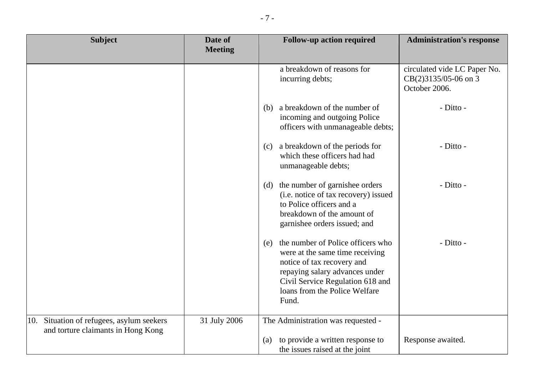| <b>Subject</b>                                                                     | Date of<br><b>Meeting</b> | <b>Follow-up action required</b>                                                                                                                                                                                          | <b>Administration's response</b>                                      |
|------------------------------------------------------------------------------------|---------------------------|---------------------------------------------------------------------------------------------------------------------------------------------------------------------------------------------------------------------------|-----------------------------------------------------------------------|
|                                                                                    |                           | a breakdown of reasons for<br>incurring debts;                                                                                                                                                                            | circulated vide LC Paper No.<br>CB(2)3135/05-06 on 3<br>October 2006. |
|                                                                                    |                           | a breakdown of the number of<br>(b)<br>incoming and outgoing Police<br>officers with unmanageable debts;                                                                                                                  | - Ditto -                                                             |
|                                                                                    |                           | (c) a breakdown of the periods for<br>which these officers had had<br>unmanageable debts;                                                                                                                                 | - Ditto -                                                             |
|                                                                                    |                           | (d) the number of garnishee orders<br>(i.e. notice of tax recovery) issued<br>to Police officers and a<br>breakdown of the amount of<br>garnishee orders issued; and                                                      | - Ditto -                                                             |
|                                                                                    |                           | the number of Police officers who<br>(e)<br>were at the same time receiving<br>notice of tax recovery and<br>repaying salary advances under<br>Civil Service Regulation 618 and<br>loans from the Police Welfare<br>Fund. | - Ditto -                                                             |
| Situation of refugees, asylum seekers<br>10.<br>and torture claimants in Hong Kong | 31 July 2006              | The Administration was requested -<br>to provide a written response to<br>(a)<br>the issues raised at the joint                                                                                                           | Response awaited.                                                     |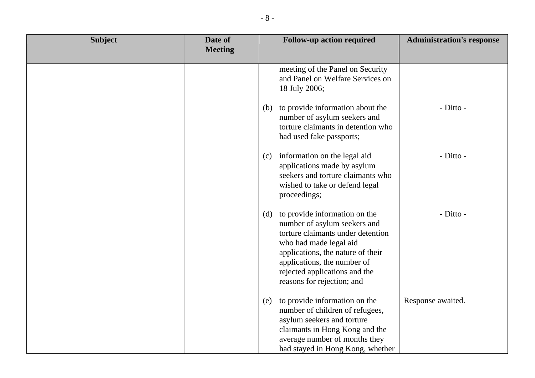| <b>Subject</b> | Date of<br><b>Meeting</b> | <b>Follow-up action required</b><br><b>Administration's response</b>                                                                                                                                                                                                             |
|----------------|---------------------------|----------------------------------------------------------------------------------------------------------------------------------------------------------------------------------------------------------------------------------------------------------------------------------|
|                |                           |                                                                                                                                                                                                                                                                                  |
|                |                           | meeting of the Panel on Security<br>and Panel on Welfare Services on<br>18 July 2006;                                                                                                                                                                                            |
|                |                           | - Ditto -<br>(b) to provide information about the<br>number of asylum seekers and<br>torture claimants in detention who<br>had used fake passports;                                                                                                                              |
|                |                           | - Ditto -<br>information on the legal aid<br>(c)<br>applications made by asylum<br>seekers and torture claimants who<br>wished to take or defend legal<br>proceedings;                                                                                                           |
|                |                           | - Ditto -<br>(d) to provide information on the<br>number of asylum seekers and<br>torture claimants under detention<br>who had made legal aid<br>applications, the nature of their<br>applications, the number of<br>rejected applications and the<br>reasons for rejection; and |
|                |                           | to provide information on the<br>Response awaited.<br>(e)<br>number of children of refugees,<br>asylum seekers and torture<br>claimants in Hong Kong and the<br>average number of months they<br>had stayed in Hong Kong, whether                                                |